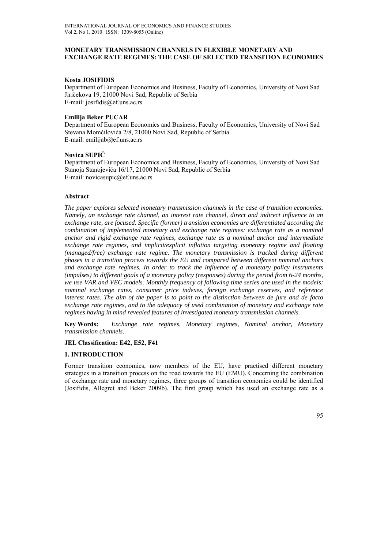## **MONETARY TRANSMISSION CHANNELS IN FLEXIBLE MONETARY AND EXCHANGE RATE REGIMES: THE CASE OF SELECTED TRANSITION ECONOMIES**

## **Kosta JOSIFIDIS**

Department of European Economics and Business, Faculty of Economics, University of Novi Sad Jiričekova 19, 21000 Novi Sad, Republic of Serbia E-mail: josifidis@ef.uns.ac.rs

# **Emilija Beker PUCAR**

Department of European Economics and Business, Faculty of Economics, University of Novi Sad Stevana Momčilovića 2/8, 21000 Novi Sad, Republic of Serbia E-mail: emilijab@ef.uns.ac.rs

## **Novica SUPIĆ**

Department of European Economics and Business, Faculty of Economics, University of Novi Sad Stanoja Stanojevića 16/17, 21000 Novi Sad, Republic of Serbia E-mail: novicasupic@ef.uns.ac.rs

## **Abstract**

*The paper explores selected monetary transmission channels in the case of transition economies. Namely, an exchange rate channel, an interest rate channel, direct and indirect influence to an exchange rate, are focused. Specific (former) transition economies are differentiated according the combination of implemented monetary and exchange rate regimes: exchange rate as a nominal anchor and rigid exchange rate regimes, exchange rate as a nominal anchor and intermediate exchange rate regimes, and implicit/explicit inflation targeting monetary regime and floating*  (managed/free) exchange rate regime. The monetary transmission is tracked during different *phases in a transition process towards the EU and compared between different nominal anchors and exchange rate regimes. In order to track the influence of a monetary policy instruments (impulses) to different goals of a monetary policy (responses) during the period from 6-24 months, we use VAR and VEC models. Monthly frequency of following time series are used in the models: nominal exchange rates, consumer price indexes, foreign exchange reserves, and reference interest rates. The aim of the paper is to point to the distinction between de jure and de facto exchange rate regimes, and to the adequacy of used combination of monetary and exchange rate regimes having in mind revealed features of investigated monetary transmission channels.*

**Key Words:** *Exchange rate regimes, Monetary regimes, Nominal anchor, Monetary transmission channels*.

# **JEL Classification: E42, E52, F41**

# **1. INTRODUCTION**

Former transition economies, now members of the EU, have practised different monetary strategies in a transition process on the road towards the EU (EMU). Concerning the combination of exchange rate and monetary regimes, three groups of transition economies could be identified (Josifidis, Allegret and Beker 2009b). The first group which has used an exchange rate as a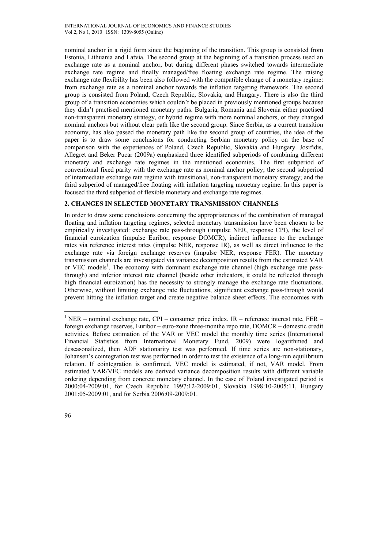nominal anchor in a rigid form since the beginning of the transition. This group is consisted from Estonia, Lithuania and Latvia. The second group at the beginning of a transition process used an exchange rate as a nominal anchor, but during different phases switched towards intermediate exchange rate regime and finally managed/free floating exchange rate regime. The raising exchange rate flexibility has been also followed with the compatible change of a monetary regime: from exchange rate as a nominal anchor towards the inflation targeting framework. The second group is consisted from Poland, Czech Republic, Slovakia, and Hungary. There is also the third group of a transition economies which couldn't be placed in previously mentioned groups because they didn't practised mentioned monetary paths. Bulgaria, Romania and Slovenia either practised non-transparent monetary strategy, or hybrid regime with more nominal anchors, or they changed nominal anchors but without clear path like the second group. Since Serbia, as a current transition economy, has also passed the monetary path like the second group of countries, the idea of the paper is to draw some conclusions for conducting Serbian monetary policy on the base of comparison with the experiences of Poland, Czech Republic, Slovakia and Hungary. Josifidis, Allegret and Beker Pucar (2009a) emphasized three identified subperiods of combining different monetary and exchange rate regimes in the mentioned economies. The first subperiod of conventional fixed parity with the exchange rate as nominal anchor policy; the second subperiod of intermediate exchange rate regime with transitional, non-transparent monetary strategy; and the third subperiod of managed/free floating with inflation targeting monetary regime. In this paper is focused the third subperiod of flexible monetary and exchange rate regimes.

# **2. CHANGES IN SELECTED MONETARY TRANSMISSION CHANNELS**

In order to draw some conclusions concerning the appropriateness of the combination of managed floating and inflation targeting regimes, selected monetary transmission have been chosen to be empirically investigated: exchange rate pass-through (impulse NER, response CPI), the level of financial euroization (impulse Euribor, response DOMCR), indirect influence to the exchange rates via reference interest rates (impulse NER, response IR), as well as direct influence to the exchange rate via foreign exchange reserves (impulse NER, response FER). The monetary transmission channels are investigated via variance decomposition results from the estimated VAR or VEC models<sup>1</sup>. The economy with dominant exchange rate channel (high exchange rate passthrough) and inferior interest rate channel (beside other indicators, it could be reflected through high financial euroization) has the necessity to strongly manage the exchange rate fluctuations. Otherwise, without limiting exchange rate fluctuations, significant exchange pass-through would prevent hitting the inflation target and create negative balance sheet effects. The economies with

<u>.</u>

<sup>&</sup>lt;sup>1</sup> NER – nominal exchange rate, CPI – consumer price index, IR – reference interest rate, FER – foreign exchange reserves, Euribor – euro-zone three-monthe repo rate, DOMCR – domestic credit activities. Before estimation of the VAR or VEC model the monthly time series (International Financial Statistics from International Monetary Fund, 2009) were logarithmed and deseasonalized, then ADF stationarity test was performed. If time series are non-stationary, Johansen's cointegration test was performed in order to test the existence of a long-run equilibrium relation. If cointegration is confirmed, VEC model is estimated, if not, VAR model. From estimated VAR/VEC models are derived variance decomposition results with different variable ordering depending from concrete monetary channel. In the case of Poland investigated period is 2000:04-2009:01, for Czech Republic 1997:12-2009:01, Slovakia 1998:10-2005:11, Hungary 2001:05-2009:01, and for Serbia 2006:09-2009:01.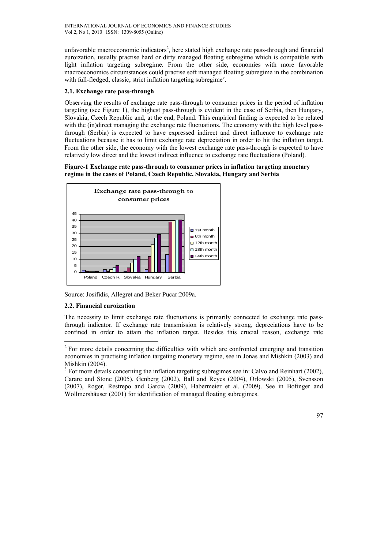unfavorable macroeconomic indicators<sup>2</sup>, here stated high exchange rate pass-through and financial euroization, usually practise hard or dirty managed floating subregime which is compatible with light inflation targeting subregime. From the other side, economies with more favorable macroeconomics circumstances could practise soft managed floating subregime in the combination with full-fledged, classic, strict inflation targeting subregime<sup>3</sup>.

# **2.1. Exchange rate pass-through**

Observing the results of exchange rate pass-through to consumer prices in the period of inflation targeting (see Figure 1), the highest pass-through is evident in the case of Serbia, then Hungary, Slovakia, Czech Republic and, at the end, Poland. This empirical finding is expected to be related with the (in)direct managing the exchange rate fluctuations. The economy with the high level passthrough (Serbia) is expected to have expressed indirect and direct influence to exchange rate fluctuations because it has to limit exchange rate depreciation in order to hit the inflation target. From the other side, the economy with the lowest exchange rate pass-through is expected to have relatively low direct and the lowest indirect influence to exchange rate fluctuations (Poland).

# **Figure-1 Exchange rate pass-through to consumer prices in inflation targeting monetary regime in the cases of Poland, Czech Republic, Slovakia, Hungary and Serbia**



Source: Josifidis, Allegret and Beker Pucar:2009a.

# **2.2. Financial euroization**

1

The necessity to limit exchange rate fluctuations is primarily connected to exchange rate passthrough indicator. If exchange rate transmission is relatively strong, depreciations have to be confined in order to attain the inflation target. Besides this crucial reason, exchange rate

 $2^2$  For more details concerning the difficulties with which are confronted emerging and transition economies in practising inflation targeting monetary regime, see in Jonas and Mishkin (2003) and Mishkin (2004).

 $3$  For more details concerning the inflation targeting subregimes see in: Calvo and Reinhart (2002), Carare and Stone (2005), Genberg (2002), Ball and Reyes (2004), Orlowski (2005), Svensson (2007), Roger, Restrepo and Garcia (2009), Habermeier et al. (2009). See in Bofinger and Wollmershäuser (2001) for identification of managed floating subregimes.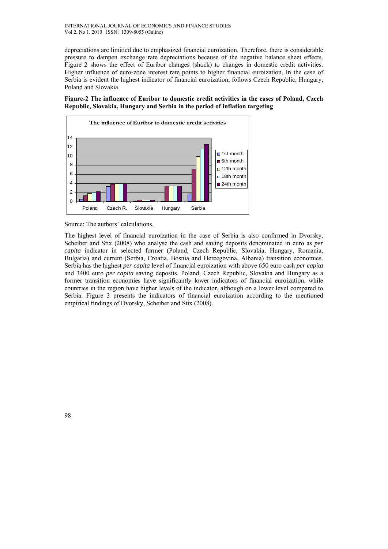INTERNATIONAL JOURNAL OF ECONOMICS AND FINANCE STUDIES Vol 2, No 1, 2010 ISSN: 1309-8055 (Online)

depreciations are limitied due to emphasized financial euroization. Therefore, there is considerable pressure to dampen exchange rate depreciations because of the negative balance sheet effects. Figure 2 shows the effect of Euribor changes (shock) to changes in domestic credit activities. Higher influence of euro-zone interest rate points to higher financial euroization. In the case of Serbia is evident the highest indicator of financial euroization, follows Czech Republic, Hungary, Poland and Slovakia.

**Figure-2 The influence of Euribor to domestic credit activities in the cases of Poland, Czech Republic, Slovakia, Hungary and Serbia in the period of inflation targeting** 



Source: The authors' calculations.

The highest level of financial euroization in the case of Serbia is also confirmed in Dvorsky, Scheiber and Stix (2008) who analyse the cash and saving deposits denominated in euro as *per capita* indicator in selected former (Poland, Czech Republic, Slovakia, Hungary, Romania, Bulgaria) and current (Serbia, Croatia, Bosnia and Hercegovina, Albania) transition economies. Serbia has the highest *per capita* level of financial euroization with above 650 euro cash *per capita* and 3400 euro *per capita* saving deposits. Poland, Czech Republic, Slovakia and Hungary as a former transition economies have significantly lower indicators of financial euroization, while countries in the region have higher levels of the indicator, although on a lower level compared to Serbia. Figure 3 presents the indicators of financial euroization according to the mentioned empirical findings of Dvorsky, Scheiber and Stix (2008).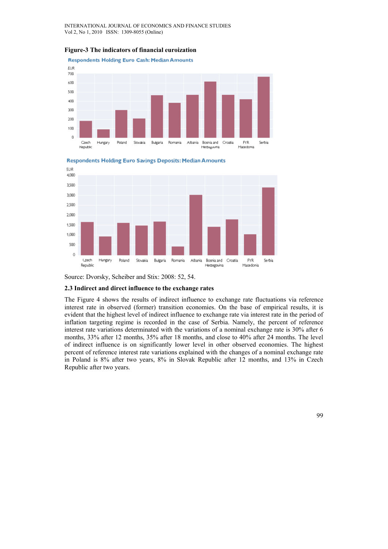

#### **Figure-3 The indicators of financial euroization**



Respondents Holding Euro Savings Deposits: Median Amounts

Source: Dvorsky, Scheiber and Stix: 2008: 52, 54.

#### **2.3 Indirect and direct influence to the exchange rates**

The Figure 4 shows the results of indirect influence to exchange rate fluctuations via reference interest rate in observed (former) transition economies. On the base of empirical results, it is evident that the highest level of indirect influence to exchange rate via interest rate in the period of inflation targeting regime is recorded in the case of Serbia. Namely, the percent of reference interest rate variations determinated with the variations of a nominal exchange rate is 30% after 6 months, 33% after 12 months, 35% after 18 months, and close to 40% after 24 months. The level of indirect influence is on significantly lower level in other observed economies. The highest percent of reference interest rate variations explained with the changes of a nominal exchange rate in Poland is 8% after two years, 8% in Slovak Republic after 12 months, and 13% in Czech Republic after two years.

99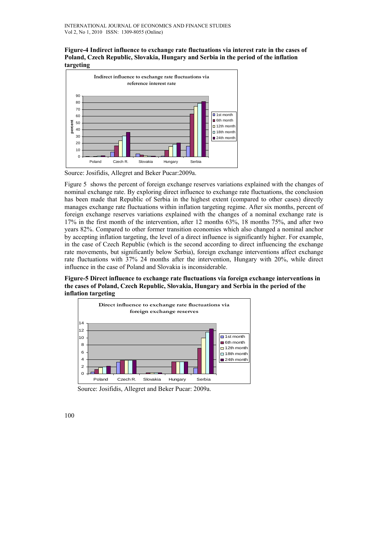**Figure-4 Indirect influence to exchange rate fluctuations via interest rate in the cases of Poland, Czech Republic, Slovakia, Hungary and Serbia in the period of the inflation targeting** 



Source: Josifidis, Allegret and Beker Pucar:2009a.

Figure 5 shows the percent of foreign exchange reserves variations explained with the changes of nominal exchange rate. By exploring direct influence to exchange rate fluctuations, the conclusion has been made that Republic of Serbia in the highest extent (compared to other cases) directly manages exchange rate fluctuations within inflation targeting regime. After six months, percent of foreign exchange reserves variations explained with the changes of a nominal exchange rate is 17% in the first month of the intervention, after 12 months 63%, 18 months 75%, and after two years 82%. Compared to other former transition economies which also changed a nominal anchor by accepting inflation targeting, the level of a direct influence is significantly higher. For example, in the case of Czech Republic (which is the second according to direct influencing the exchange rate movements, but significantly below Serbia), foreign exchange interventions affect exchange rate fluctuations with 37% 24 months after the intervention, Hungary with 20%, while direct influence in the case of Poland and Slovakia is inconsiderable.

**Figure-5 Direct influence to exchange rate fluctuations via foreign exchange interventions in the cases of Poland, Czech Republic, Slovakia, Hungary and Serbia in the period of the inflation targeting** 



Source: Josifidis, Allegret and Beker Pucar: 2009a.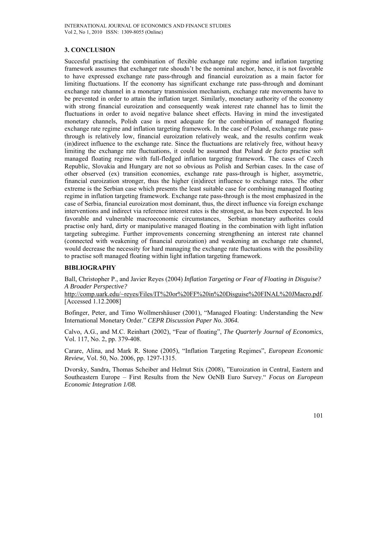## **3. CONCLUSION**

Succesful practising the combination of flexible exchange rate regime and inflation targeting framework assumes that exchanger rate shoudn't be the nominal anchor, hence, it is not favorable to have expressed exchange rate pass-through and financial euroization as a main factor for limiting fluctuations. If the economy has significant exchange rate pass-through and dominant exchange rate channel in a monetary transmission mechanism, exchange rate movements have to be prevented in order to attain the inflation target. Similarly, monetary authority of the economy with strong financial euroization and consequently weak interest rate channel has to limit the fluctuations in order to avoid negative balance sheet effects. Having in mind the investigated monetary channels, Polish case is most adequate for the combination of managed floating exchange rate regime and inflation targeting framework. In the case of Poland, exchange rate passthrough is relatively low, financial euroization relatively weak, and the results confirm weak (in)direct influence to the exchange rate. Since the fluctuations are relatively free, without heavy limiting the exchange rate fluctuations, it could be assumed that Poland *de facto* practise soft managed floating regime with full-fledged inflation targeting framework. The cases of Czech Republic, Slovakia and Hungary are not so obvious as Polish and Serbian cases. In the case of other observed (ex) transition economies, exchange rate pass-through is higher, assymetric, financial euroization stronger, thus the higher (in)direct influence to exchange rates. The other extreme is the Serbian case which presents the least suitable case for combining managed floating regime in inflation targeting framework. Exchange rate pass-through is the most emphasized in the case of Serbia, financial euroization most dominant, thus, the direct influence via foreign exchange interventions and indirect via reference interest rates is the strongest, as has been expected. In less favorable and vulnerable macroeconomic circumstances, Serbian monetary authorites could practise only hard, dirty or manipulative managed floating in the combination with light inflation targeting subregime. Further improvements concerning strengthening an interest rate channel (connected with weakening of financial euroization) and weakening an exchange rate channel, would decrease the necessity for hard managing the exchange rate fluctuations with the possibility to practise soft managed floating within light inflation targeting framework.

## **BIBLIOGRAPHY**

Ball, Christopher P., and Javier Reyes (2004) *Inflation Targeting or Fear of Floating in Disguise? A Broader Perspective?* 

http://comp.uark.edu/~reyes/Files/IT%20or%20FF%20in%20Disguise%20FINAL%20JMacro.pdf. [Accessed 1.12.2008]

Bofinger, Peter, and Timo Wollmershäuser (2001), "Managed Floating: Understanding the New International Monetary Order." *CEPR Discussion Paper No. 3064.* 

Calvo, A.G., and M.C. Reinhart (2002), "Fear of floating", *The Quarterly Journal of Economics*, Vol. 117, No. 2, pp. 379-408.

Carare, Alina, and Mark R. Stone (2005), "Inflation Targeting Regimes", *European Economic Review,* Vol. 50, No. 2006, pp. 1297-1315.

Dvorsky, Sandra, Thomas Scheiber and Helmut Stix (2008), "Euroization in Central, Eastern and Southeastern Europe – First Results from the New OeNB Euro Survey." *Focus on European Economic Integration 1/08.*